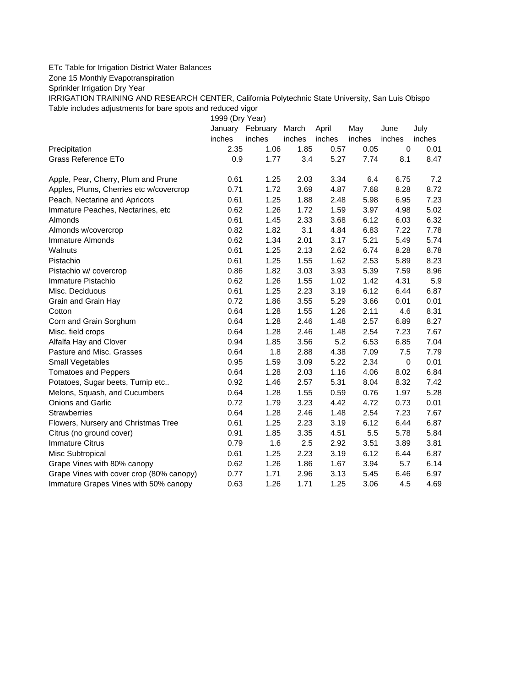## ETc Table for Irrigation District Water Balances

Zone 15 Monthly Evapotranspiration

Sprinkler Irrigation Dry Year

IRRIGATION TRAINING AND RESEARCH CENTER, California Polytechnic State University, San Luis Obispo Table includes adjustments for bare spots and reduced vigor

1999 (Dry Year)

|                                          | January | February | March  | April  | May    | June        | July   |
|------------------------------------------|---------|----------|--------|--------|--------|-------------|--------|
|                                          | inches  | inches   | inches | inches | inches | inches      | inches |
| Precipitation                            | 2.35    | 1.06     | 1.85   | 0.57   | 0.05   | $\mathbf 0$ | 0.01   |
| Grass Reference ETo                      | 0.9     | 1.77     | 3.4    | 5.27   | 7.74   | 8.1         | 8.47   |
| Apple, Pear, Cherry, Plum and Prune      | 0.61    | 1.25     | 2.03   | 3.34   | 6.4    | 6.75        | 7.2    |
| Apples, Plums, Cherries etc w/covercrop  | 0.71    | 1.72     | 3.69   | 4.87   | 7.68   | 8.28        | 8.72   |
| Peach, Nectarine and Apricots            | 0.61    | 1.25     | 1.88   | 2.48   | 5.98   | 6.95        | 7.23   |
| Immature Peaches, Nectarines, etc        | 0.62    | 1.26     | 1.72   | 1.59   | 3.97   | 4.98        | 5.02   |
| Almonds                                  | 0.61    | 1.45     | 2.33   | 3.68   | 6.12   | 6.03        | 6.32   |
| Almonds w/covercrop                      | 0.82    | 1.82     | 3.1    | 4.84   | 6.83   | 7.22        | 7.78   |
| <b>Immature Almonds</b>                  | 0.62    | 1.34     | 2.01   | 3.17   | 5.21   | 5.49        | 5.74   |
| Walnuts                                  | 0.61    | 1.25     | 2.13   | 2.62   | 6.74   | 8.28        | 8.78   |
| Pistachio                                | 0.61    | 1.25     | 1.55   | 1.62   | 2.53   | 5.89        | 8.23   |
| Pistachio w/ covercrop                   | 0.86    | 1.82     | 3.03   | 3.93   | 5.39   | 7.59        | 8.96   |
| Immature Pistachio                       | 0.62    | 1.26     | 1.55   | 1.02   | 1.42   | 4.31        | 5.9    |
| Misc. Deciduous                          | 0.61    | 1.25     | 2.23   | 3.19   | 6.12   | 6.44        | 6.87   |
| Grain and Grain Hay                      | 0.72    | 1.86     | 3.55   | 5.29   | 3.66   | 0.01        | 0.01   |
| Cotton                                   | 0.64    | 1.28     | 1.55   | 1.26   | 2.11   | 4.6         | 8.31   |
| Corn and Grain Sorghum                   | 0.64    | 1.28     | 2.46   | 1.48   | 2.57   | 6.89        | 8.27   |
| Misc. field crops                        | 0.64    | 1.28     | 2.46   | 1.48   | 2.54   | 7.23        | 7.67   |
| Alfalfa Hay and Clover                   | 0.94    | 1.85     | 3.56   | 5.2    | 6.53   | 6.85        | 7.04   |
| Pasture and Misc. Grasses                | 0.64    | 1.8      | 2.88   | 4.38   | 7.09   | 7.5         | 7.79   |
| Small Vegetables                         | 0.95    | 1.59     | 3.09   | 5.22   | 2.34   | $\pmb{0}$   | 0.01   |
| <b>Tomatoes and Peppers</b>              | 0.64    | 1.28     | 2.03   | 1.16   | 4.06   | 8.02        | 6.84   |
| Potatoes, Sugar beets, Turnip etc        | 0.92    | 1.46     | 2.57   | 5.31   | 8.04   | 8.32        | 7.42   |
| Melons, Squash, and Cucumbers            | 0.64    | 1.28     | 1.55   | 0.59   | 0.76   | 1.97        | 5.28   |
| <b>Onions and Garlic</b>                 | 0.72    | 1.79     | 3.23   | 4.42   | 4.72   | 0.73        | 0.01   |
| <b>Strawberries</b>                      | 0.64    | 1.28     | 2.46   | 1.48   | 2.54   | 7.23        | 7.67   |
| Flowers, Nursery and Christmas Tree      | 0.61    | 1.25     | 2.23   | 3.19   | 6.12   | 6.44        | 6.87   |
| Citrus (no ground cover)                 | 0.91    | 1.85     | 3.35   | 4.51   | 5.5    | 5.78        | 5.84   |
| <b>Immature Citrus</b>                   | 0.79    | 1.6      | 2.5    | 2.92   | 3.51   | 3.89        | 3.81   |
| Misc Subtropical                         | 0.61    | 1.25     | 2.23   | 3.19   | 6.12   | 6.44        | 6.87   |
| Grape Vines with 80% canopy              | 0.62    | 1.26     | 1.86   | 1.67   | 3.94   | 5.7         | 6.14   |
| Grape Vines with cover crop (80% canopy) | 0.77    | 1.71     | 2.96   | 3.13   | 5.45   | 6.46        | 6.97   |
| Immature Grapes Vines with 50% canopy    | 0.63    | 1.26     | 1.71   | 1.25   | 3.06   | 4.5         | 4.69   |